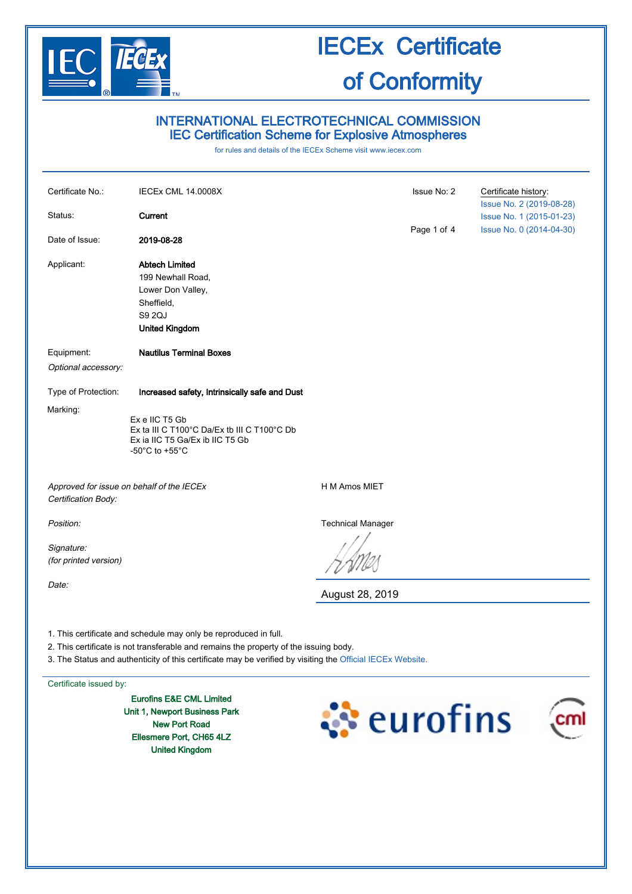

# INTERNATIONAL ELECTROTECHNICAL COMMISSION IEC Certification Scheme for Explosive Atmospheres

for rules and details of the IECEx Scheme visit [www.iecex.com](http://www.iecex.com/)

| Certificate No.:                                                                                                                                          | IECEx CML 14.0008X                                                                                                                       |                          | Issue No: 2 | Certificate history:<br>Issue No. 2 (2019-08-28) |
|-----------------------------------------------------------------------------------------------------------------------------------------------------------|------------------------------------------------------------------------------------------------------------------------------------------|--------------------------|-------------|--------------------------------------------------|
| Status:                                                                                                                                                   | Current                                                                                                                                  |                          |             | Issue No. 1 (2015-01-23)                         |
| Date of Issue:                                                                                                                                            | 2019-08-28                                                                                                                               |                          | Page 1 of 4 | Issue No. 0 (2014-04-30)                         |
| Applicant:                                                                                                                                                | <b>Abtech Limited</b><br>199 Newhall Road,<br>Lower Don Valley,<br>Sheffield,<br>S9 2QJ<br><b>United Kingdom</b>                         |                          |             |                                                  |
| Equipment:<br>Optional accessory:                                                                                                                         | <b>Nautilus Terminal Boxes</b>                                                                                                           |                          |             |                                                  |
| Type of Protection:                                                                                                                                       | Increased safety, Intrinsically safe and Dust                                                                                            |                          |             |                                                  |
| Marking:                                                                                                                                                  | Ex e IIC T5 Gb<br>Ex ta III C T100°C Da/Ex tb III C T100°C Db<br>Ex ia IIC T5 Ga/Ex ib IIC T5 Gb<br>-50 $^{\circ}$ C to +55 $^{\circ}$ C |                          |             |                                                  |
| Approved for issue on behalf of the IECEx<br>Certification Body:                                                                                          |                                                                                                                                          | H M Amos MIET            |             |                                                  |
| Position:                                                                                                                                                 |                                                                                                                                          | <b>Technical Manager</b> |             |                                                  |
| Signature:<br>(for printed version)                                                                                                                       |                                                                                                                                          |                          |             |                                                  |
| Date:                                                                                                                                                     |                                                                                                                                          | August 28, 2019          |             |                                                  |
| 1. This certificate and schedule may only be reproduced in full.<br>2. This certificate is not transferable and remains the property of the issuing body. |                                                                                                                                          |                          |             |                                                  |

3. The Status and authenticity of this certificate may be verified by visiting the [Official IECEx Website.](http://iecex.iec.ch/)

Certificate issued by:

Eurofins E&E CML Limited Unit 1, Newport Business Park New Port Road Ellesmere Port, CH65 4LZ United Kingdom



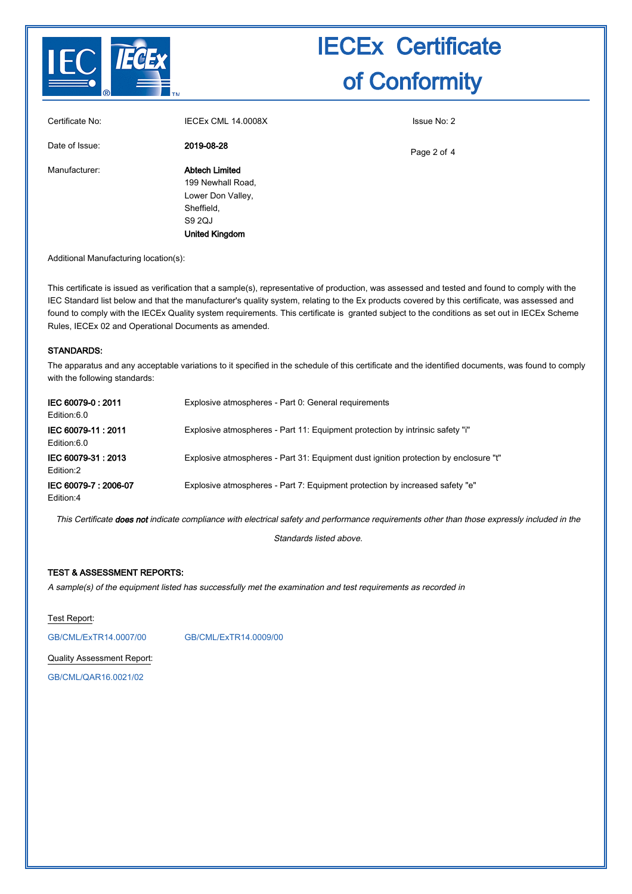

| Certificate No: | <b>IECEX CML 14.0008X</b> | Issue No: 2 |
|-----------------|---------------------------|-------------|
| Date of Issue:  | 2019-08-28                | Page 2 of 4 |
| Manufacturer:   | Abtech Limited            |             |
|                 | 199 Newhall Road,         |             |
|                 | Lower Don Valley,         |             |
|                 | Sheffield,                |             |
|                 | S9 2QJ                    |             |
|                 | <b>United Kingdom</b>     |             |
|                 |                           |             |

Additional Manufacturing location(s):

This certificate is issued as verification that a sample(s), representative of production, was assessed and tested and found to comply with the IEC Standard list below and that the manufacturer's quality system, relating to the Ex products covered by this certificate, was assessed and found to comply with the IECEx Quality system requirements. This certificate is granted subject to the conditions as set out in IECEx Scheme Rules, IECEx 02 and Operational Documents as amended.

#### STANDARDS:

The apparatus and any acceptable variations to it specified in the schedule of this certificate and the identified documents, was found to comply with the following standards:

| IEC 60079-0:2011<br>Edition:6.0   | Explosive atmospheres - Part 0: General requirements                                 |
|-----------------------------------|--------------------------------------------------------------------------------------|
| IEC 60079-11: 2011<br>Edition:6.0 | Explosive atmospheres - Part 11: Equipment protection by intrinsic safety "i"        |
| IEC 60079-31: 2013<br>Edition:2   | Explosive atmospheres - Part 31: Equipment dust ignition protection by enclosure "t" |
| IEC 60079-7: 2006-07<br>Edition:4 | Explosive atmospheres - Part 7: Equipment protection by increased safety "e"         |

This Certificate does not indicate compliance with electrical safety and performance requirements other than those expressly included in the

Standards listed above.

## TEST & ASSESSMENT REPORTS:

A sample(s) of the equipment listed has successfully met the examination and test requirements as recorded in

Test Report:

[GB/CML/ExTR14.0007/00](http://iecex.iec.ch/extr/GB.CML.ExTR14.0007.00) [GB/CML/ExTR14.0009/00](http://iecex.iec.ch/extr/GB.CML.ExTR14.0009.00)

Quality Assessment Report:

[GB/CML/QAR16.0021/02](http://iecex.iec.ch/qar/GB.CML.QAR16.0021.02)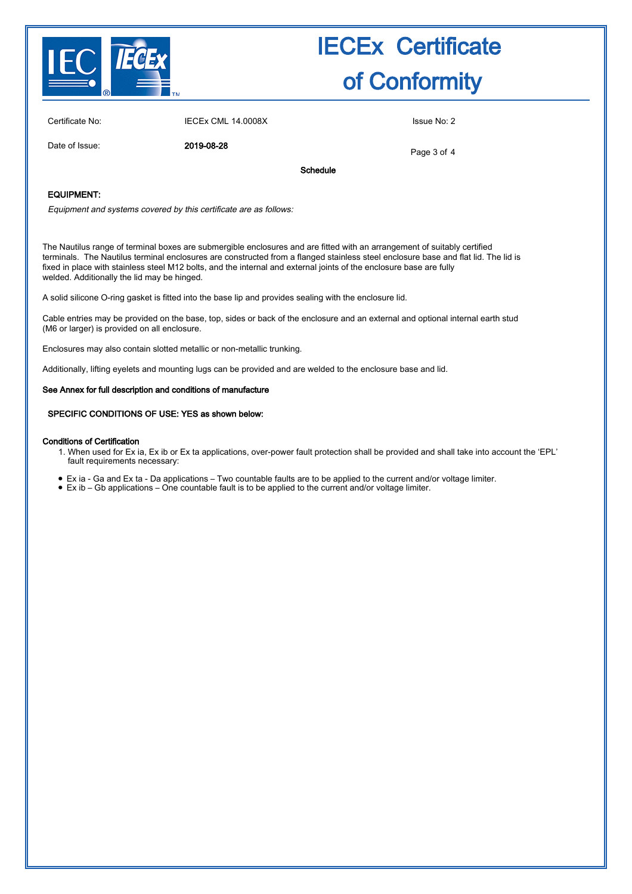

Certificate No: IECEx CML 14.0008X Issue No: 2

Date of Issue: 2019-08-28

Page 3 of 4

Schedule

### EQUIPMENT:

Equipment and systems covered by this certificate are as follows:

The Nautilus range of terminal boxes are submergible enclosures and are fitted with an arrangement of suitably certified terminals. The Nautilus terminal enclosures are constructed from a flanged stainless steel enclosure base and flat lid. The lid is fixed in place with stainless steel M12 bolts, and the internal and external joints of the enclosure base are fully welded. Additionally the lid may be hinged.

A solid silicone O-ring gasket is fitted into the base lip and provides sealing with the enclosure lid.

Cable entries may be provided on the base, top, sides or back of the enclosure and an external and optional internal earth stud (M6 or larger) is provided on all enclosure.

Enclosures may also contain slotted metallic or non-metallic trunking.

Additionally, lifting eyelets and mounting lugs can be provided and are welded to the enclosure base and lid.

#### See Annex for full description and conditions of manufacture

#### SPECIFIC CONDITIONS OF USE: YES as shown below:

#### Conditions of Certification

- When used for Ex ia, Ex ib or Ex ta applications, over-power fault protection shall be provided and shall take into account the 'EPL' 1. fault requirements necessary:
- Ex ia Ga and Ex ta Da applications Two countable faults are to be applied to the current and/or voltage limiter.
- Ex ib Gb applications One countable fault is to be applied to the current and/or voltage limiter.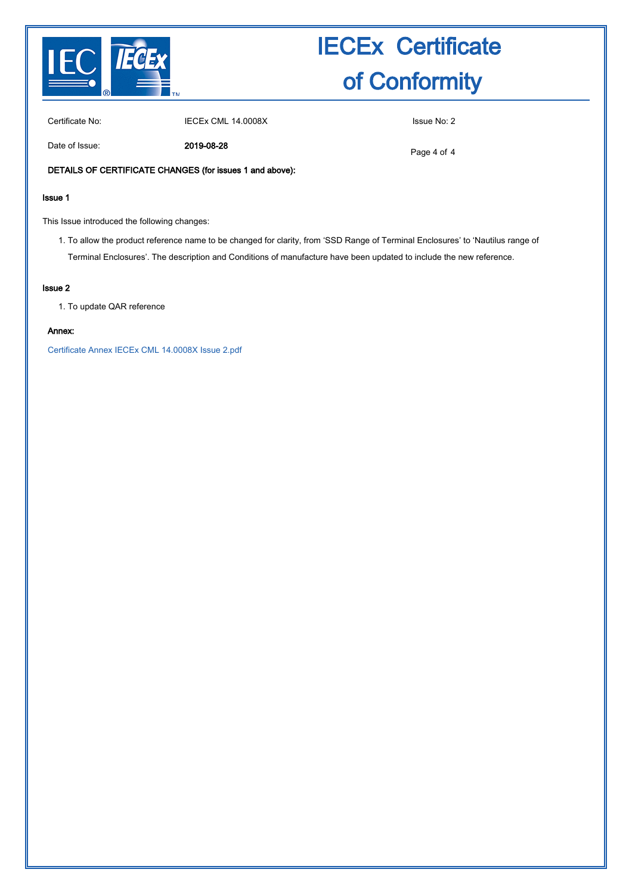

Certificate No: IECEx CML 14.0008X Issue No: 2

Date of Issue: 2019-08-28

Page 4 of 4

### DETAILS OF CERTIFICATE CHANGES (for issues 1 and above):

### Issue 1

This Issue introduced the following changes:

1. To allow the product reference name to be changed for clarity, from 'SSD Range of Terminal Enclosures' to 'Nautilus range of Terminal Enclosures'. The description and Conditions of manufacture have been updated to include the new reference.

#### Issue 2

1. To update QAR reference

### Annex:

[Certificate Annex IECEx CML 14.0008X Issue 2.pdf](http://iecex.iec.ch/cert/IECExCML14.00082/$File/Certificate Annex IECEx CML 14.0008X Issue 2.pdf)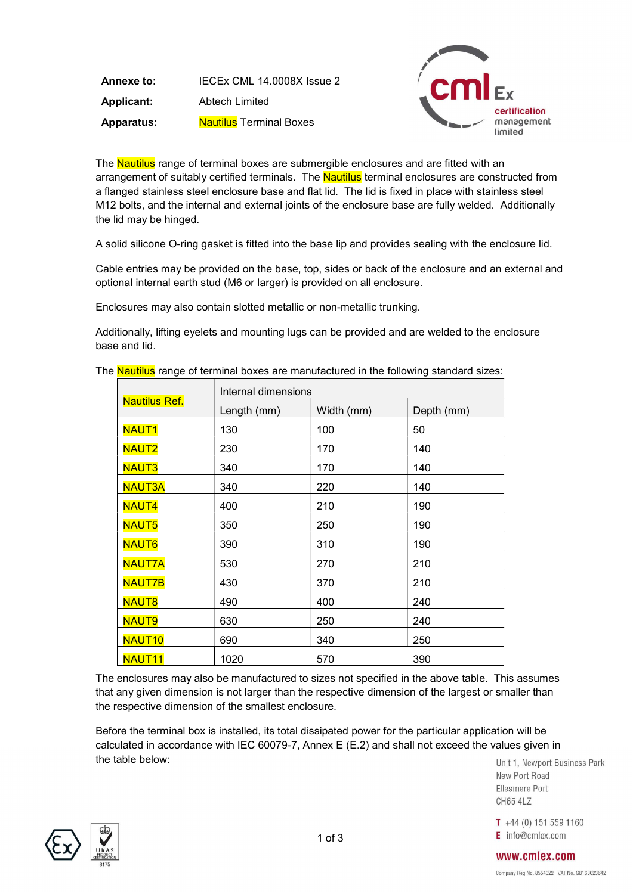Annexe to: IECEx CML 14.0008X Issue 2 Applicant: Abtech Limited Apparatus: Nautilus Terminal Boxes



The Nautilus range of terminal boxes are submergible enclosures and are fitted with an arrangement of suitably certified terminals. The **Nautilus** terminal enclosures are constructed from a flanged stainless steel enclosure base and flat lid. The lid is fixed in place with stainless steel M12 bolts, and the internal and external joints of the enclosure base are fully welded. Additionally the lid may be hinged.

A solid silicone O-ring gasket is fitted into the base lip and provides sealing with the enclosure lid.

Cable entries may be provided on the base, top, sides or back of the enclosure and an external and optional internal earth stud (M6 or larger) is provided on all enclosure.

Enclosures may also contain slotted metallic or non-metallic trunking.

Additionally, lifting eyelets and mounting lugs can be provided and are welded to the enclosure base and lid.

|                      | Internal dimensions |            |            |  |
|----------------------|---------------------|------------|------------|--|
| <b>Nautilus Ref.</b> | Length (mm)         | Width (mm) | Depth (mm) |  |
| <b>NAUT1</b>         | 130                 | 100        | 50         |  |
| <b>NAUT2</b>         | 230                 | 170        | 140        |  |
| <b>NAUT3</b>         | 340                 | 170        | 140        |  |
| <b>NAUT3A</b>        | 340                 | 220        | 140        |  |
| <b>NAUT4</b>         | 400                 | 210        | 190        |  |
| <b>NAUT5</b>         | 350                 | 250        | 190        |  |
| <b>NAUT6</b>         | 390                 | 310        | 190        |  |
| <b>NAUT7A</b>        | 530                 | 270        | 210        |  |
| <b>NAUT7B</b>        | 430                 | 370        | 210        |  |
| <b>NAUT8</b>         | 490                 | 400        | 240        |  |
| <b>NAUT9</b>         | 630                 | 250        | 240        |  |
| NAUT <sub>10</sub>   | 690                 | 340        | 250        |  |
| NAUT <sub>11</sub>   | 1020                | 570        | 390        |  |

The **Nautilus** range of terminal boxes are manufactured in the following standard sizes:

The enclosures may also be manufactured to sizes not specified in the above table. This assumes that any given dimension is not larger than the respective dimension of the largest or smaller than the respective dimension of the smallest enclosure.

Before the terminal box is installed, its total dissipated power for the particular application will be calculated in accordance with IEC 60079-7, Annex E (E.2) and shall not exceed the values given in the table below:

Unit 1. Newport Business Park New Port Road Fllesmere Port **CH65 4LZ** 

 $T + 44(0) 151 559 1160$  $E$  info@cmlex.com



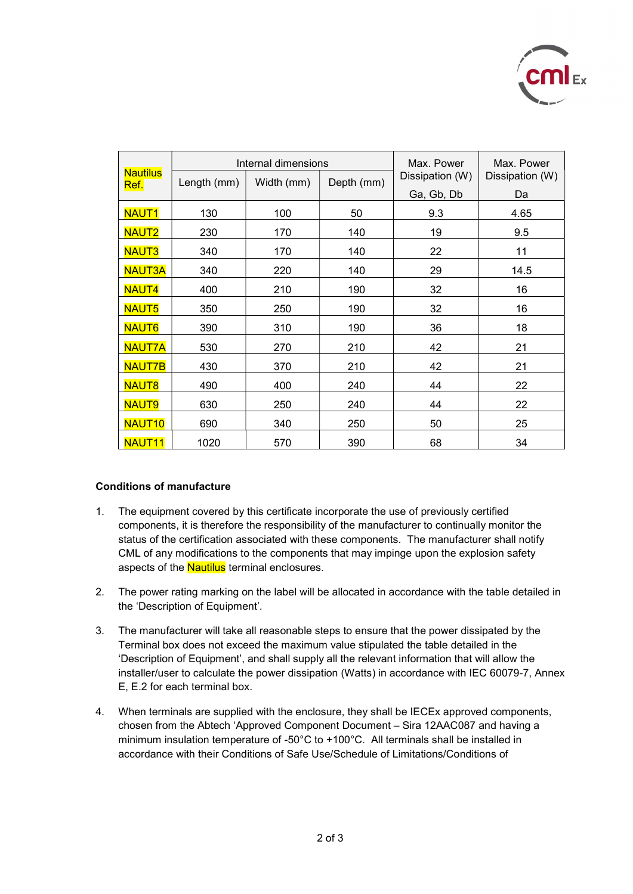

| <b>Nautilus</b>    | Internal dimensions |            | Max. Power | Max. Power      |                 |
|--------------------|---------------------|------------|------------|-----------------|-----------------|
| Ref.               | Length (mm)         | Width (mm) | Depth (mm) | Dissipation (W) | Dissipation (W) |
|                    |                     |            |            | Ga, Gb, Db      | Da              |
| <b>NAUT1</b>       | 130                 | 100        | 50         | 9.3             | 4.65            |
| <b>NAUT2</b>       | 230                 | 170        | 140        | 19              | 9.5             |
| <b>NAUT3</b>       | 340                 | 170        | 140        | 22              | 11              |
| <b>NAUT3A</b>      | 340                 | 220        | 140        | 29              | 14.5            |
| <b>NAUT4</b>       | 400                 | 210        | 190        | 32              | 16              |
| <b>NAUT5</b>       | 350                 | 250        | 190        | 32              | 16              |
| <b>NAUT6</b>       | 390                 | 310        | 190        | 36              | 18              |
| <b>NAUT7A</b>      | 530                 | 270        | 210        | 42              | 21              |
| <b>NAUT7B</b>      | 430                 | 370        | 210        | 42              | 21              |
| <b>NAUT8</b>       | 490                 | 400        | 240        | 44              | 22              |
| <b>NAUT9</b>       | 630                 | 250        | 240        | 44              | 22              |
| NAUT <sub>10</sub> | 690                 | 340        | 250        | 50              | 25              |
| NAUT <sub>11</sub> | 1020                | 570        | 390        | 68              | 34              |

## Conditions of manufacture

- 1. The equipment covered by this certificate incorporate the use of previously certified components, it is therefore the responsibility of the manufacturer to continually monitor the status of the certification associated with these components. The manufacturer shall notify CML of any modifications to the components that may impinge upon the explosion safety aspects of the **Nautilus** terminal enclosures.
- 2. The power rating marking on the label will be allocated in accordance with the table detailed in the 'Description of Equipment'.
- 3. The manufacturer will take all reasonable steps to ensure that the power dissipated by the Terminal box does not exceed the maximum value stipulated the table detailed in the 'Description of Equipment', and shall supply all the relevant information that will allow the installer/user to calculate the power dissipation (Watts) in accordance with IEC 60079-7, Annex E, E.2 for each terminal box.
- 4. When terminals are supplied with the enclosure, they shall be IECEx approved components, chosen from the Abtech 'Approved Component Document – Sira 12AAC087 and having a minimum insulation temperature of -50°C to +100°C. All terminals shall be installed in accordance with their Conditions of Safe Use/Schedule of Limitations/Conditions of